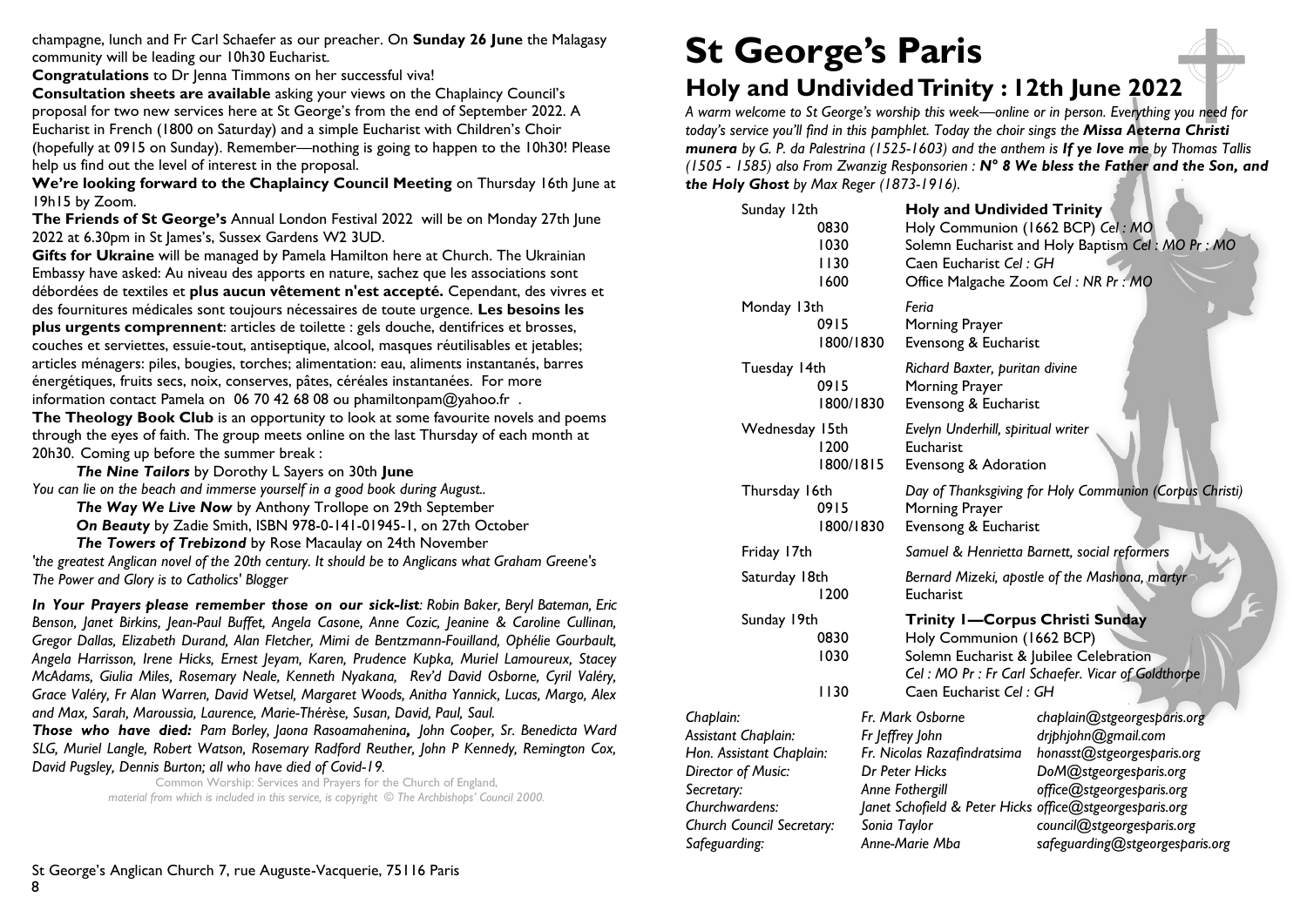champagne, lunch and Fr Carl Schaefer as our preacher. On **Sunday 26 June** the Malagasy community will be leading our 10h30 Eucharist.

**Congratulations** to Dr Jenna Timmons on her successful viva!

**Consultation sheets are available** asking your views on the Chaplaincy Council's proposal for two new services here at St George's from the end of September 2022. A Eucharist in French (1800 on Saturday) and a simple Eucharist with Children's Choir (hopefully at 0915 on Sunday). Remember—nothing is going to happen to the 10h30! Please help us find out the level of interest in the proposal.

**We're looking forward to the Chaplaincy Council Meeting** on Thursday 16th June at 19h15 by Zoom.

**The Friends of St George's** Annual London Festival 2022 will be on Monday 27th June 2022 at 6.30pm in St James's, Sussex Gardens W2 3UD.

**Gifts for Ukraine** will be managed by Pamela Hamilton here at Church. The Ukrainian Embassy have asked: Au niveau des apports en nature, sachez que les associations sont débordées de textiles et **plus aucun vêtement n'est accepté.** Cependant, des vivres et des fournitures médicales sont toujours nécessaires de toute urgence. **Les besoins les plus urgents comprennent**: articles de toilette : gels douche, dentifrices et brosses, couches et serviettes, essuie-tout, antiseptique, alcool, masques réutilisables et jetables; articles ménagers: piles, bougies, torches; alimentation: eau, aliments instantanés, barres énergétiques, fruits secs, noix, conserves, pâtes, céréales instantanées. For more information contact Pamela on 06 70 42 68 08 ou phamiltonpam@yahoo.fr .

**The Theology Book Club** is an opportunity to look at some favourite novels and poems through the eyes of faith. The group meets online on the last Thursday of each month at 20h30. Coming up before the summer break :

*The Nine Tailors* by Dorothy L Sayers on 30th **June** *You can lie on the beach and immerse yourself in a good book during August..*

*The Way We Live Now* by Anthony Trollope on 29th September *On Beauty* by Zadie Smith, ISBN 978-0-141-01945-1, on 27th October

*The Towers of Trebizond* by Rose Macaulay on 24th November *'the greatest Anglican novel of the 20th century. It should be to Anglicans what Graham Greene's The Power and Glory is to Catholics' Blogger* 

*In Your Prayers please remember those on our sick-list: Robin Baker, Beryl Bateman, Eric Benson, Janet Birkins, Jean-Paul Buffet, Angela Casone, Anne Cozic, Jeanine & Caroline Cullinan, Gregor Dallas, Elizabeth Durand, Alan Fletcher, Mimi de Bentzmann-Fouilland, Ophélie Gourbault, Angela Harrisson, Irene Hicks, Ernest Jeyam, Karen, Prudence Kupka, Muriel Lamoureux, Stacey McAdams, Giulia Miles, Rosemary Neale, Kenneth Nyakana, Rev'd David Osborne, Cyril Valéry, Grace Valéry, Fr Alan Warren, David Wetsel, Margaret Woods, Anitha Yannick, Lucas, Margo, Alex and Max, Sarah, Maroussia, Laurence, Marie-Thérèse, Susan, David, Paul, Saul.* 

*Those who have died: Pam Borley, Jaona Rasoamahenina, John Cooper, Sr. Benedicta Ward SLG, Muriel Langle, Robert Watson, Rosemary Radford Reuther, John P Kennedy, Remington Cox, David Pugsley, Dennis Burton; all who have died of Covid-19.*

Common Worship: Services and Prayers for the Church of England, *material from which is included in this service, is copyright © The Archbishops' Council 2000.* 

# **St George's Paris**

# **Holy and Undivided Trinity : 12th June 2022**

*A warm welcome to St George's worship this week—online or in person. Everything you need for today's service you'll find in this pamphlet. Today the choir sings the Missa Aeterna Christi munera by G. P. da Palestrina (1525-1603) and the anthem is If ye love me by Thomas Tallis (1505 - 1585) also From Zwanzig Responsorien : N° 8 We bless the Father and the Son, and the Holy Ghost by Max Reger (1873-1916).*

| Sunday 12th                                                                                               |  | <b>Holy and Undivided Trinity</b>                                                                 |                                                                                      |                                    |                                                                                                                             |  |  |
|-----------------------------------------------------------------------------------------------------------|--|---------------------------------------------------------------------------------------------------|--------------------------------------------------------------------------------------|------------------------------------|-----------------------------------------------------------------------------------------------------------------------------|--|--|
| 0830                                                                                                      |  | Holy Communion (1662 BCP) Cel: MO                                                                 |                                                                                      |                                    |                                                                                                                             |  |  |
| 1030                                                                                                      |  |                                                                                                   | Solemn Eucharist and Holy Baptism Cel: MO Pr: MO                                     |                                    |                                                                                                                             |  |  |
| 1130                                                                                                      |  | Caen Eucharist Cel: GH                                                                            |                                                                                      |                                    |                                                                                                                             |  |  |
| 1600                                                                                                      |  | Office Malgache Zoom Cel: NR Pr: MO                                                               |                                                                                      |                                    |                                                                                                                             |  |  |
| Monday 13th<br>0915<br>1800/1830<br>Tuesday 14th<br>0915<br>1800/1830                                     |  | Feria<br>Morning Prayer                                                                           |                                                                                      |                                    |                                                                                                                             |  |  |
|                                                                                                           |  |                                                                                                   |                                                                                      | Evensong & Eucharist               |                                                                                                                             |  |  |
|                                                                                                           |  | Richard Baxter, puritan divine<br>Morning Prayer                                                  |                                                                                      |                                    |                                                                                                                             |  |  |
|                                                                                                           |  |                                                                                                   |                                                                                      |                                    | Evensong & Eucharist                                                                                                        |  |  |
|                                                                                                           |  | Wednesday 15th                                                                                    |                                                                                      | Evelyn Underhill, spiritual writer |                                                                                                                             |  |  |
|                                                                                                           |  | 1200<br>1800/1815                                                                                 |                                                                                      | Eucharist                          |                                                                                                                             |  |  |
| Evensong & Adoration                                                                                      |  |                                                                                                   |                                                                                      |                                    |                                                                                                                             |  |  |
| Thursday 16th<br>0915<br>1800/1830<br>Friday 17th<br>Saturday 18th<br>1200<br>Sunday 19th<br>0830<br>1030 |  | Day of Thanksgiving for Holy Communion (Corpus Christi)<br>Morning Prayer<br>Evensong & Eucharist |                                                                                      |                                    |                                                                                                                             |  |  |
|                                                                                                           |  |                                                                                                   |                                                                                      |                                    | Samuel & Henrietta Barnett, social reformers                                                                                |  |  |
|                                                                                                           |  |                                                                                                   |                                                                                      |                                    | Bernard Mizeki, apostle of the Mashona, martyr<br>Eucharist<br>Trinity I-Corpus Christi Sunday<br>Holy Communion (1662 BCP) |  |  |
|                                                                                                           |  | Solemn Eucharist & Jubilee Celebration                                                            |                                                                                      |                                    |                                                                                                                             |  |  |
|                                                                                                           |  | Cel: MO Pr: Fr Carl Schaefer. Vicar of Goldthorpe                                                 |                                                                                      |                                    |                                                                                                                             |  |  |
|                                                                                                           |  | 1130                                                                                              |                                                                                      | Caen Eucharist Cel: GH             |                                                                                                                             |  |  |
|                                                                                                           |  | Chaplain:                                                                                         |                                                                                      | Fr. Mark Osborne                   | chaplain@stgeorgesparis.org                                                                                                 |  |  |
|                                                                                                           |  | Assistant Chaplain:                                                                               |                                                                                      | Fr Jeffrey John                    | driphjohn@gmail.com                                                                                                         |  |  |
|                                                                                                           |  | Hon. Assistant Chaplain:                                                                          |                                                                                      | Fr. Nicolas Razafindratsima        | honasst@stgeorgesparis.org                                                                                                  |  |  |
|                                                                                                           |  | Director of Music:                                                                                |                                                                                      | Dr Peter Hicks                     | DoM@stgeorgesparis.org                                                                                                      |  |  |
| Secretary:<br>Churchwardens:                                                                              |  | Anne Fothergill                                                                                   | office@stgeorgesparis.org<br>Janet Schofield & Peter Hicks office@stgeorgesparis.org |                                    |                                                                                                                             |  |  |
| <b>Church Council Secretary:</b>                                                                          |  | Sonia Taylor                                                                                      | council@stgeorgesparis.org                                                           |                                    |                                                                                                                             |  |  |
| Safeguarding:                                                                                             |  | Anne-Marie Mba                                                                                    | safeguarding@stgeorgesparis.org                                                      |                                    |                                                                                                                             |  |  |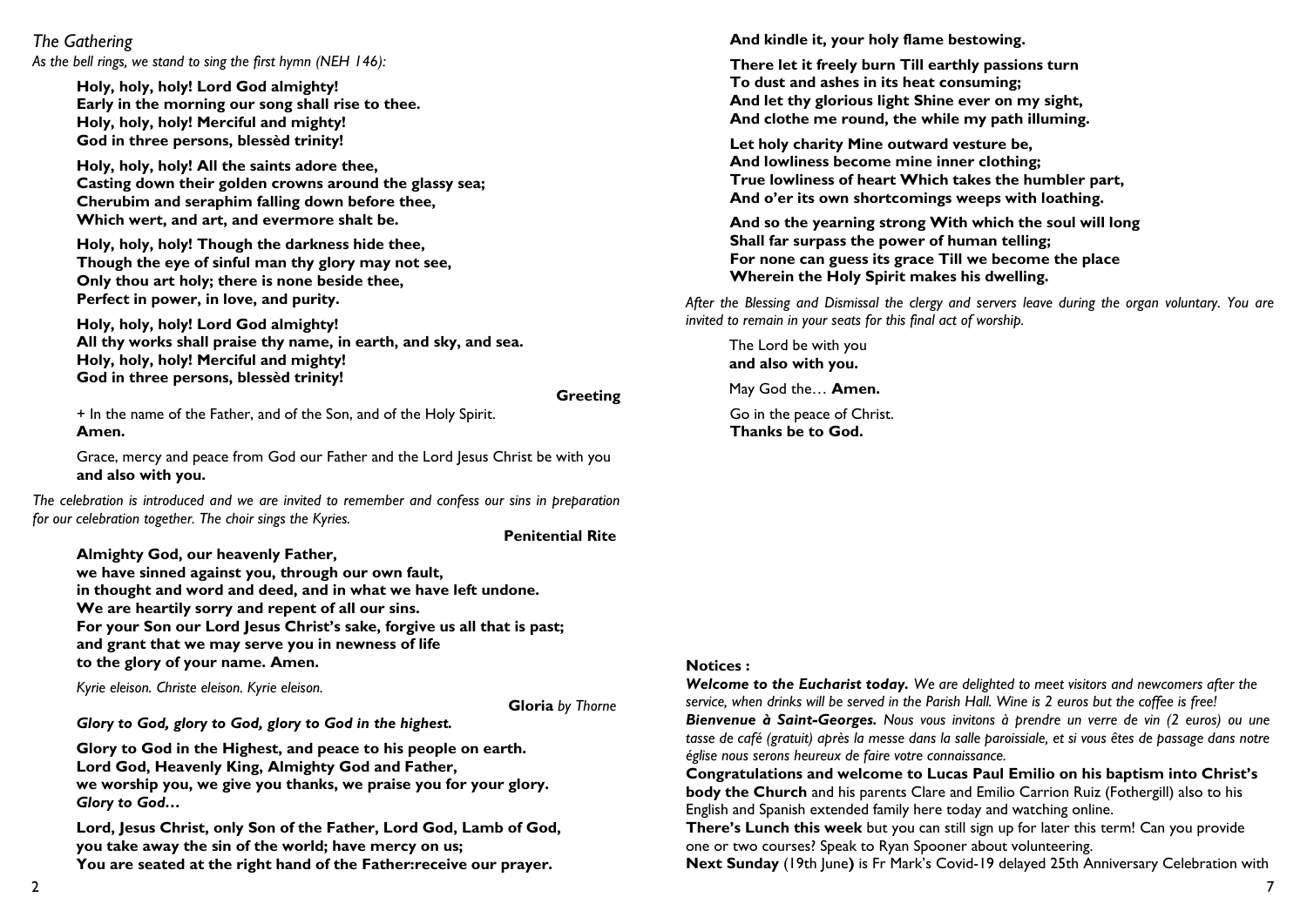#### *The Gathering*

*As the bell rings, we stand to sing the first hymn (NEH 146):*

**Holy, holy, holy! Lord God almighty! Early in the morning our song shall rise to thee. Holy, holy, holy! Merciful and mighty! God in three persons, blessèd trinity!**

**Holy, holy, holy! All the saints adore thee, Casting down their golden crowns around the glassy sea; Cherubim and seraphim falling down before thee, Which wert, and art, and evermore shalt be.**

**Holy, holy, holy! Though the darkness hide thee, Though the eye of sinful man thy glory may not see, Only thou art holy; there is none beside thee, Perfect in power, in love, and purity.**

**Holy, holy, holy! Lord God almighty! All thy works shall praise thy name, in earth, and sky, and sea. Holy, holy, holy! Merciful and mighty! God in three persons, blessèd trinity!**

#### **Greeting**

+ In the name of the Father, and of the Son, and of the Holy Spirit. **Amen.**

Grace, mercy and peace from God our Father and the Lord Jesus Christ be with you **and also with you.**

*The celebration is introduced and we are invited to remember and confess our sins in preparation for our celebration together. The choir sings the Kyries.*

**Penitential Rite**

**Almighty God, our heavenly Father, we have sinned against you, through our own fault, in thought and word and deed, and in what we have left undone. We are heartily sorry and repent of all our sins. For your Son our Lord Jesus Christ's sake, forgive us all that is past; and grant that we may serve you in newness of life to the glory of your name. Amen.**

*Kyrie eleison. Christe eleison. Kyrie eleison.*

**Gloria** *by Thorne*

*Glory to God, glory to God, glory to God in the highest.*

**Glory to God in the Highest, and peace to his people on earth. Lord God, Heavenly King, Almighty God and Father, we worship you, we give you thanks, we praise you for your glory.**  *Glory to God…*

**Lord, Jesus Christ, only Son of the Father, Lord God, Lamb of God, you take away the sin of the world; have mercy on us; You are seated at the right hand of the Father:receive our prayer.** 

**And kindle it, your holy flame bestowing.**

**There let it freely burn Till earthly passions turn To dust and ashes in its heat consuming; And let thy glorious light Shine ever on my sight, And clothe me round, the while my path illuming.** 

**Let holy charity Mine outward vesture be, And lowliness become mine inner clothing; True lowliness of heart Which takes the humbler part, And o'er its own shortcomings weeps with loathing.**

**And so the yearning strong With which the soul will long Shall far surpass the power of human telling; For none can guess its grace Till we become the place Wherein the Holy Spirit makes his dwelling.**

*After the Blessing and Dismissal the clergy and servers leave during the organ voluntary. You are invited to remain in your seats for this final act of worship.* 

The Lord be with you **and also with you.** May God the… **Amen.** Go in the peace of Christ. **Thanks be to God.**

#### **Notices :**

*Welcome to the Eucharist today. We are delighted to meet visitors and newcomers after the service, when drinks will be served in the Parish Hall. Wine is 2 euros but the coffee is free! Bienvenue à Saint-Georges. Nous vous invitons à prendre un verre de vin (2 euros) ou une tasse de café (gratuit) après la messe dans la salle paroissiale, et si vous êtes de passage dans notre église nous serons heureux de faire votre connaissance.*

**Congratulations and welcome to Lucas Paul Emilio on his baptism into Christ's body the Church** and his parents Clare and Emilio Carrion Ruiz (Fothergill) also to his English and Spanish extended family here today and watching online.

**There's Lunch this week** but you can still sign up for later this term! Can you provide one or two courses? Speak to Ryan Spooner about volunteering.

**Next Sunday** (19th June**)** is Fr Mark's Covid-19 delayed 25th Anniversary Celebration with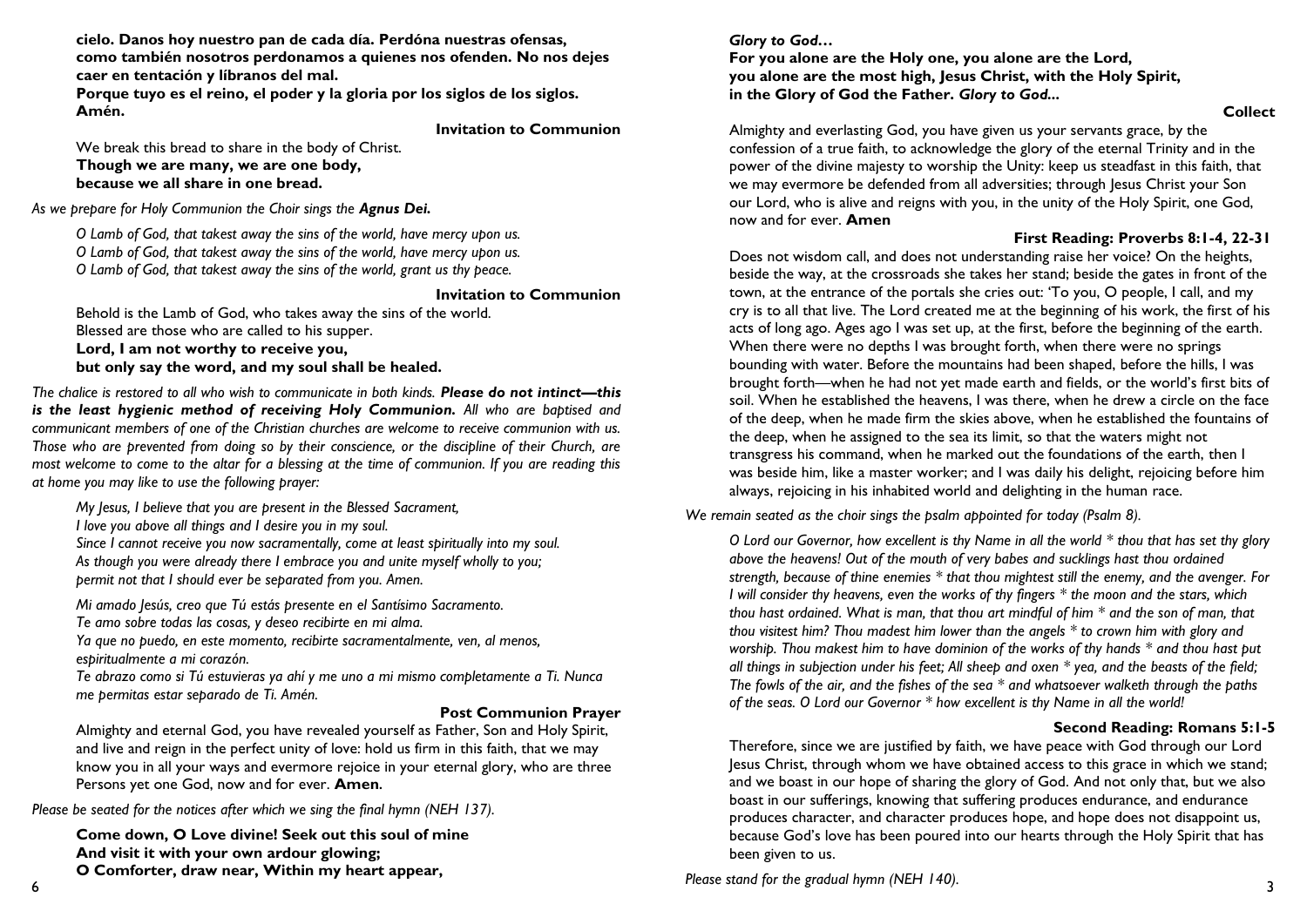**cielo. Danos hoy nuestro pan de cada día. Perdóna nuestras ofensas, como también nosotros perdonamos a quienes nos ofenden. No nos dejes caer en tentación y líbranos del mal.** 

**Porque tuyo es el reino, el poder y la gloria por los siglos de los siglos. Amén.** 

**Invitation to Communion**

We break this bread to share in the body of Christ. **Though we are many, we are one body, because we all share in one bread.**

As we prepare for Holy Communion the Choir sings the **Agnus Dei.** 

*O Lamb of God, that takest away the sins of the world, have mercy upon us. O Lamb of God, that takest away the sins of the world, have mercy upon us. O Lamb of God, that takest away the sins of the world, grant us thy peace.*

#### **Invitation to Communion**

Behold is the Lamb of God, who takes away the sins of the world. Blessed are those who are called to his supper. **Lord, I am not worthy to receive you, but only say the word, and my soul shall be healed.**

*The chalice is restored to all who wish to communicate in both kinds. Please do not intinct—this is the least hygienic method of receiving Holy Communion. All who are baptised and communicant members of one of the Christian churches are welcome to receive communion with us. Those who are prevented from doing so by their conscience, or the discipline of their Church, are most welcome to come to the altar for a blessing at the time of communion. If you are reading this at home you may like to use the following prayer:*

*My Jesus, I believe that you are present in the Blessed Sacrament,* 

*I love you above all things and I desire you in my soul.*

*Since I cannot receive you now sacramentally, come at least spiritually into my soul. As though you were already there I embrace you and unite myself wholly to you; permit not that I should ever be separated from you. Amen.*

*Mi amado Jesús, creo que Tú estás presente en el Santísimo Sacramento.* 

*Te amo sobre todas las cosas, y deseo recibirte en mi alma.* 

*Ya que no puedo, en este momento, recibirte sacramentalmente, ven, al menos, espiritualmente a mi corazón.* 

*Te abrazo como si Tú estuvieras ya ahí y me uno a mi mismo completamente a Ti. Nunca me permitas estar separado de Ti. Amén.* 

#### **Post Communion Prayer**

Almighty and eternal God, you have revealed yourself as Father, Son and Holy Spirit, and live and reign in the perfect unity of love: hold us firm in this faith, that we may know you in all your ways and evermore rejoice in your eternal glory, who are three Persons yet one God, now and for ever. **Amen.**

*Please be seated for the notices after which we sing the final hymn (NEH 137).*

**Come down, O Love divine! Seek out this soul of mine And visit it with your own ardour glowing; O Comforter, draw near, Within my heart appear,**

*Glory to God…*

#### **For you alone are the Holy one, you alone are the Lord, you alone are the most high, Jesus Christ, with the Holy Spirit, in the Glory of God the Father.** *Glory to God...*

**Collect**

Almighty and everlasting God, you have given us your servants grace, by the confession of a true faith, to acknowledge the glory of the eternal Trinity and in the power of the divine majesty to worship the Unity: keep us steadfast in this faith, that we may evermore be defended from all adversities; through Jesus Christ your Son our Lord, who is alive and reigns with you, in the unity of the Holy Spirit, one God, now and for ever. **Amen**

### **First Reading: Proverbs 8:1-4, 22-31**

Does not wisdom call, and does not understanding raise her voice? On the heights, beside the way, at the crossroads she takes her stand; beside the gates in front of the town, at the entrance of the portals she cries out: 'To you, O people, I call, and my cry is to all that live. The Lord created me at the beginning of his work, the first of his acts of long ago. Ages ago I was set up, at the first, before the beginning of the earth. When there were no depths I was brought forth, when there were no springs bounding with water. Before the mountains had been shaped, before the hills, I was brought forth—when he had not yet made earth and fields, or the world's first bits of soil. When he established the heavens, I was there, when he drew a circle on the face of the deep, when he made firm the skies above, when he established the fountains of the deep, when he assigned to the sea its limit, so that the waters might not transgress his command, when he marked out the foundations of the earth, then I was beside him, like a master worker; and I was daily his delight, rejoicing before him always, rejoicing in his inhabited world and delighting in the human race.

*We remain seated as the choir sings the psalm appointed for today (Psalm 8).*

*O Lord our Governor, how excellent is thy Name in all the world \* thou that has set thy glory above the heavens! Out of the mouth of very babes and sucklings hast thou ordained strength, because of thine enemies \* that thou mightest still the enemy, and the avenger. For I will consider thy heavens, even the works of thy fingers \* the moon and the stars, which thou hast ordained. What is man, that thou art mindful of him \* and the son of man, that thou visitest him? Thou madest him lower than the angels \* to crown him with glory and worship. Thou makest him to have dominion of the works of thy hands \* and thou hast put all things in subjection under his feet; All sheep and oxen \* yea, and the beasts of the field; The fowls of the air, and the fishes of the sea \* and whatsoever walketh through the paths of the seas. O Lord our Governor \* how excellent is thy Name in all the world!* 

## **Second Reading: Romans 5:1-5**

Therefore, since we are justified by faith, we have peace with God through our Lord Jesus Christ, through whom we have obtained access to this grace in which we stand; and we boast in our hope of sharing the glory of God. And not only that, but we also boast in our sufferings, knowing that suffering produces endurance, and endurance produces character, and character produces hope, and hope does not disappoint us, because God's love has been poured into our hearts through the Holy Spirit that has been given to us.

*Please stand for the gradual hymn (NEH 140).*